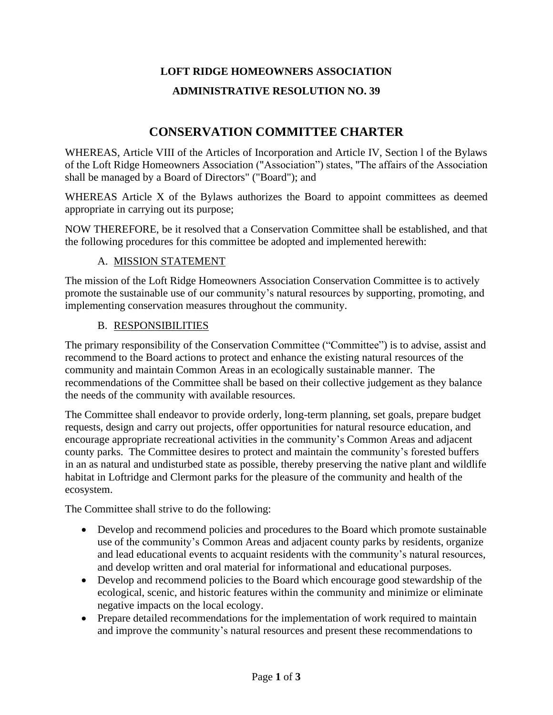# **LOFT RIDGE HOMEOWNERS ASSOCIATION ADMINISTRATIVE RESOLUTION NO. 39**

# **CONSERVATION COMMITTEE CHARTER**

WHEREAS, Article VIII of the Articles of Incorporation and Article IV, Section l of the Bylaws of the Loft Ridge Homeowners Association ("Association") states, ''The affairs of the Association shall be managed by a Board of Directors" ("Board"); and

WHEREAS Article X of the Bylaws authorizes the Board to appoint committees as deemed appropriate in carrying out its purpose;

NOW THEREFORE, be it resolved that a Conservation Committee shall be established, and that the following procedures for this committee be adopted and implemented herewith:

# A. MISSION STATEMENT

The mission of the Loft Ridge Homeowners Association Conservation Committee is to actively promote the sustainable use of our community's natural resources by supporting, promoting, and implementing conservation measures throughout the community.

#### B. RESPONSIBILITIES

The primary responsibility of the Conservation Committee ("Committee") is to advise, assist and recommend to the Board actions to protect and enhance the existing natural resources of the community and maintain Common Areas in an ecologically sustainable manner. The recommendations of the Committee shall be based on their collective judgement as they balance the needs of the community with available resources.

The Committee shall endeavor to provide orderly, long-term planning, set goals, prepare budget requests, design and carry out projects, offer opportunities for natural resource education, and encourage appropriate recreational activities in the community's Common Areas and adjacent county parks. The Committee desires to protect and maintain the community's forested buffers in an as natural and undisturbed state as possible, thereby preserving the native plant and wildlife habitat in Loftridge and Clermont parks for the pleasure of the community and health of the ecosystem.

The Committee shall strive to do the following:

- Develop and recommend policies and procedures to the Board which promote sustainable use of the community's Common Areas and adjacent county parks by residents, organize and lead educational events to acquaint residents with the community's natural resources, and develop written and oral material for informational and educational purposes.
- Develop and recommend policies to the Board which encourage good stewardship of the ecological, scenic, and historic features within the community and minimize or eliminate negative impacts on the local ecology.
- Prepare detailed recommendations for the implementation of work required to maintain and improve the community's natural resources and present these recommendations to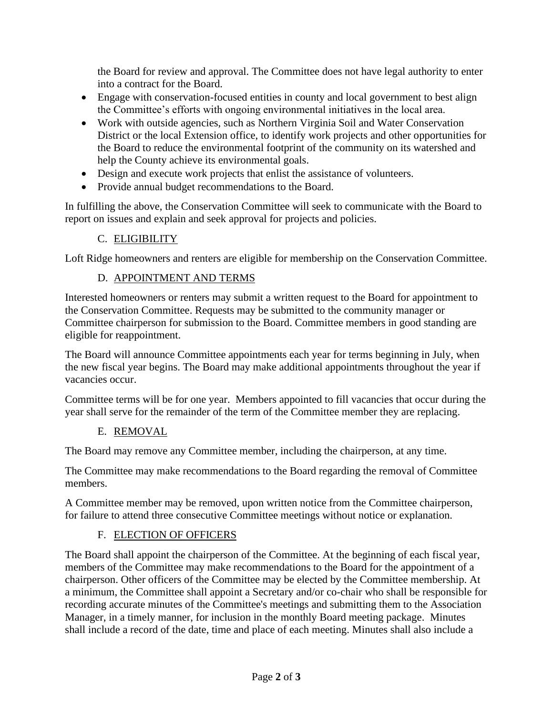the Board for review and approval. The Committee does not have legal authority to enter into a contract for the Board.

- Engage with conservation-focused entities in county and local government to best align the Committee's efforts with ongoing environmental initiatives in the local area.
- Work with outside agencies, such as Northern Virginia Soil and Water Conservation District or the local Extension office, to identify work projects and other opportunities for the Board to reduce the environmental footprint of the community on its watershed and help the County achieve its environmental goals.
- Design and execute work projects that enlist the assistance of volunteers.
- Provide annual budget recommendations to the Board.

In fulfilling the above, the Conservation Committee will seek to communicate with the Board to report on issues and explain and seek approval for projects and policies.

# C. ELIGIBILITY

Loft Ridge homeowners and renters are eligible for membership on the Conservation Committee.

# D. APPOINTMENT AND TERMS

Interested homeowners or renters may submit a written request to the Board for appointment to the Conservation Committee. Requests may be submitted to the community manager or Committee chairperson for submission to the Board. Committee members in good standing are eligible for reappointment.

The Board will announce Committee appointments each year for terms beginning in July, when the new fiscal year begins. The Board may make additional appointments throughout the year if vacancies occur.

Committee terms will be for one year. Members appointed to fill vacancies that occur during the year shall serve for the remainder of the term of the Committee member they are replacing.

#### E. REMOVAL

The Board may remove any Committee member, including the chairperson, at any time.

The Committee may make recommendations to the Board regarding the removal of Committee members.

A Committee member may be removed, upon written notice from the Committee chairperson, for failure to attend three consecutive Committee meetings without notice or explanation.

# F. ELECTION OF OFFICERS

The Board shall appoint the chairperson of the Committee. At the beginning of each fiscal year, members of the Committee may make recommendations to the Board for the appointment of a chairperson. Other officers of the Committee may be elected by the Committee membership. At a minimum, the Committee shall appoint a Secretary and/or co-chair who shall be responsible for recording accurate minutes of the Committee's meetings and submitting them to the Association Manager, in a timely manner, for inclusion in the monthly Board meeting package. Minutes shall include a record of the date, time and place of each meeting. Minutes shall also include a